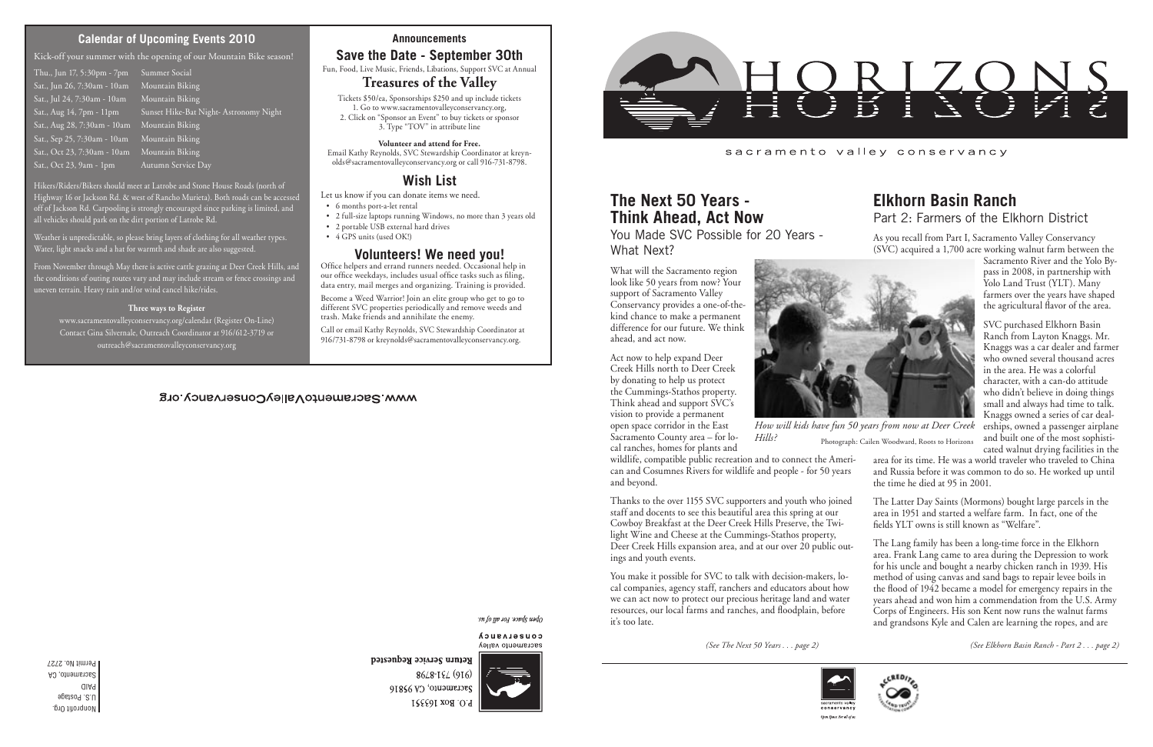#### sacramento valley conservancy

*(See The Next 50 Years . . . page 2) (See Elkhorn Basin Ranch - Part 2 . . . page 2)*



#### **Announcements**

# **Save the Date - September 30th**

Fun, Food, Live Music, Friends, Libations, Support SVC at Annual

## **Treasures of the Valley**

Tickets \$50/ea, Sponsorships \$250 and up include tickets 1. Go to www.sacramentovalleyconservancy.org, 2. Click on "Sponsor an Event" to buy tickets or sponsor 3. Type "TOV" in attribute line

#### **Volunteer and attend for Free.**

Email Kathy Reynolds, SVC Stewardship Coordinator at kreynolds@sacramentovalleyconservancy.org or call 916-731-8798.

## **Wish List**

Let us know if you can donate items we need.

- 6 months port-a-let rental
- 2 full-size laptops running Windows, no more than 3 years old
- 2 portable USB external hard drives
- 4 GPS units (used OK!)

## **Volunteers! We need you!**

Office helpers and errand runners needed. Occasional help in our office weekdays, includes usual office tasks such as filing, data entry, mail merges and organizing. Training is provided.

Become a Weed Warrior! Join an elite group who get to go to different SVC properties periodically and remove weeds and trash. Make friends and annihilate the enemy.

Call or email Kathy Reynolds, SVC Stewardship Coordinator at 916/731-8798 or kreynolds@sacramentovalleyconservancy.org.

## WWW.SacramentoValleyConservancy.org

open Space For all by a

CONSELASUCA sacramento valley



8648-184 (916) Sacramento, CA 95816 P.O. Box 163551



# **Elkhorn Basin Ranch**  Part 2: Farmers of the Elkhorn District

As you recall from Part I, Sacramento Valley Conservancy (SVC) acquired a 1,700 acre working walnut farm between the

Sacramento River and the Yolo Bypass in 2008, in partnership with Yolo Land Trust (YLT). Many farmers over the years have shaped the agricultural flavor of the area.

SVC purchased Elkhorn Basin Ranch from Layton Knaggs. Mr. Knaggs was a car dealer and farmer who owned several thousand acres in the area. He was a colorful character, with a can-do attitude who didn't believe in doing things small and always had time to talk. Knaggs owned a series of car dealerships, owned a passenger airplane and built one of the most sophisticated walnut drying facilities in the

- area for its time. He was a world traveler who traveled to China and Russia before it was common to do so. He worked up until the time he died at 95 in 2001.
- The Latter Day Saints (Mormons) bought large parcels in the area in 1951 and started a welfare farm. In fact, one of the fields YLT owns is still known as "Welfare".
- The Lang family has been a long-time force in the Elkhorn area. Frank Lang came to area during the Depression to work for his uncle and bought a nearby chicken ranch in 1939. His method of using canvas and sand bags to repair levee boils in the flood of 1942 became a model for emergency repairs in the years ahead and won him a commendation from the U.S. Army Corps of Engineers. His son Kent now runs the walnut farms and grandsons Kyle and Calen are learning the ropes, and are

# **The Next 50 Years - Think Ahead, Act Now**

You Made SVC Possible for 20 Years - What Next?

What will the Sacramento region look like 50 years from now? Your support of Sacramento Valley Conservancy provides a one-of-thekind chance to make a permanent difference for our future. We think ahead, and act now.

Act now to help expand Deer Creek Hills north to Deer Creek by donating to help us protect the Cummings-Stathos property. Think ahead and support SVC's vision to provide a permanent open space corridor in the East Sacramento County area – for local ranches, homes for plants and

wildlife, compatible public recreation and to connect the American and Cosumnes Rivers for wildlife and people - for 50 years and beyond.

Thanks to the over 1155 SVC supporters and youth who joined staff and docents to see this beautiful area this spring at our Cowboy Breakfast at the Deer Creek Hills Preserve, the Twilight Wine and Cheese at the Cummings-Stathos property, Deer Creek Hills expansion area, and at our over 20 public outings and youth events.

You make it possible for SVC to talk with decision-makers, local companies, agency staff, ranchers and educators about how we can act now to protect our precious heritage land and water resources, our local farms and ranches, and floodplain, before it's too late.



Open Space. For all of u.

Return Service Requested

## **Calendar of Upcoming Events 2010**

Kick-off your summer with the opening of our Mountain Bike season!

Thu., Jun 17, 5:30pm - 7pm Summer Social Sat., Jun 26, 7:30am - 10am Mountain Biking Sat., Jul 24, 7:30am - 10am Mountain Biking Sat., Aug 28, 7:30am - 10am Mountain Biking Sat., Sep 25, 7:30am - 10am Mountain Biking Sat., Oct 23, 7:30am - 10am Mountain Biking Sat., Oct 23, 9am - 1pm Autumn Service Day

Sat., Aug 14, 7pm - 11pm Sunset Hike-Bat Night-Astronomy Night

Hikers/Riders/Bikers should meet at Latrobe and Stone House Roads (north of Highway 16 or Jackson Rd. & west of Rancho Murieta). Both roads can be accessed off of Jackson Rd. Carpooling is strongly encouraged since parking is limited, and all vehicles should park on the dirt portion of Latrobe Rd.

Weather is unpredictable, so please bring layers of clothing for all weather types. Water, light snacks and a hat for warmth and shade are also suggested.

From November through May there is active cattle grazing at Deer Creek Hills, and the conditions of outing routes vary and may include stream or fence crossings and uneven terrain. Heavy rain and/or wind cancel hike/rides.

#### **Three ways to Register**

www.sacramentovalleyconservancy.org/calendar (Register On-Line) Contact Gina Silvernale, Outreach Coordinator at 916/612-3719 or outreach@sacramentovalleyconservancy.org



*How will kids have fun 50 years from now at Deer Creek Hills?* Photograph: Cailen Woodward, Roots to Horizons